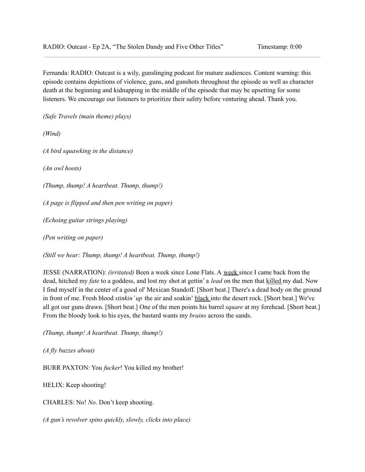Fernanda: RADIO: Outcast is a wily, gunslinging podcast for mature audiences. Content warning: this episode contains depictions of violence, guns, and gunshots throughout the episode as well as character death at the beginning and kidnapping in the middle of the episode that may be upsetting for some listeners. We encourage our listeners to prioritize their safety before venturing ahead. Thank you.

*(Safe Travels (main theme) plays)*

*(Wind)*

*(A bird squawking in the distance)*

*(An owl hoots)*

*(Thump, thump! A heartbeat. Thump, thump!)*

*(A page is flipped and then pen writing on paper)*

*(Echoing guitar strings playing)*

*(Pen writing on paper)*

*(Still we hear: Thump, thump! A heartbeat. Thump, thump!)*

JESSE (NARRATION): *(irritated)* Been a week since Lone Flats. A week since I came back from the dead, hitched my *fate* to a goddess, and lost my shot at gettin' a *lead* on the men that killed my dad. Now I find myself in the center of a good ol' Mexican Standoff. [Short beat.] There's a dead body on the ground in front of me. Fresh blood *stinkin' up* the air and soakin' black into the desert rock. [Short beat.] We've all got our guns drawn. [Short beat.] One of the men points his barrel *square* at my forehead. [Short beat.] From the bloody look to his eyes, the bastard wants my *brains* across the sands.

*(Thump, thump! A heartbeat. Thump, thump!)*

*(A fly buzzes about)*

BURR PAXTON: You *fucker*! You killed my brother!

HELIX: Keep shooting!

CHARLES: No! *No*. Don't keep shooting.

*(A gun's revolver spins quickly, slowly, clicks into place)*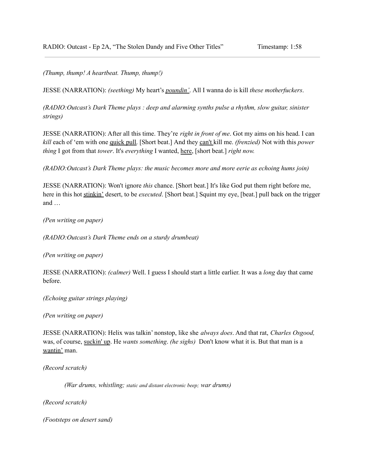*(Thump, thump! A heartbeat. Thump, thump!)*

JESSE (NARRATION): *(seething)* My heart's *poundin'*. All I wanna do is kill *these motherfuckers*.

*(RADIO:Outcast's Dark Theme plays : deep and alarming synths pulse a rhythm, slow guitar, sinister strings)*

JESSE (NARRATION): After all this time. They're *right in front of me*. Got my aims on his head. I can *kill* each of 'em with one quick pull. [Short beat.] And they can't kill me. *(frenzied)* Not with this *power thing* I got from that *tower*. It's *everything* I wanted, here, [short beat.] *right now.*

*(RADIO:Outcast's Dark Theme plays: the music becomes more and more eerie as echoing hums join)*

JESSE (NARRATION): Won't ignore *this* chance. [Short beat.] It's like God put them right before me, here in this hot stinkin' desert, to be *executed*. [Short beat.] Squint my eye, [beat.] pull back on the trigger and …

*(Pen writing on paper)*

*(RADIO:Outcast's Dark Theme ends on a sturdy drumbeat)*

*(Pen writing on paper)*

JESSE (NARRATION): *(calmer)* Well. I guess I should start a little earlier. It was a *long* day that came before.

*(Echoing guitar strings playing)*

*(Pen writing on paper)*

JESSE (NARRATION): Helix was talkin' nonstop, like she *always does*. And that rat, *Charles Osgood,* was, of course, suckin' up. He *wants something*. *(he sighs)* Don't know what it is. But that man is a wantin' man.

*(Record scratch)*

*(War drums, whistling; static and distant electronic beep; war drums)*

*(Record scratch)*

*(Footsteps on desert sand)*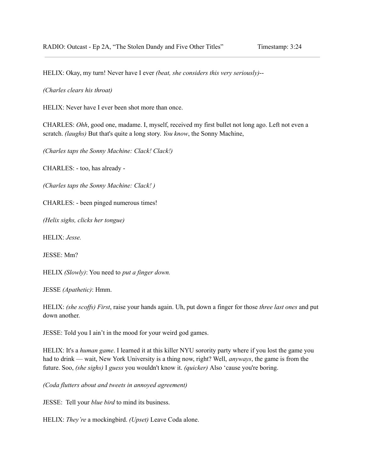HELIX: Okay, my turn! Never have I ever *(beat, she considers this very seriously)*--

*(Charles clears his throat)*

HELIX: Never have I ever been shot more than once.

CHARLES: *Ohh*, good one, madame. I, myself, received my first bullet not long ago. Left not even a scratch. *(laughs)* But that's quite a long story. *You know*, the Sonny Machine,

*(Charles taps the Sonny Machine: Clack! Clack!)*

CHARLES: - too, has already -

*(Charles taps the Sonny Machine: Clack! )*

CHARLES: - been pinged numerous times!

*(Helix sighs, clicks her tongue)*

HELIX: *Jesse.*

JESSE: Mm?

HELIX *(Slowly)*: You need to *put a finger down.*

JESSE *(Apathetic)*: Hmm.

HELIX: *(she scoffs) First*, raise your hands again. Uh, put down a finger for those *three last ones* and put down another.

JESSE: Told you I ain't in the mood for your weird god games.

HELIX: It's a *human game*. I learned it at this killer NYU sorority party where if you lost the game you had to drink — wait, New York University is a thing now, right? Well, *anyways*, the game is from the future. Soo, *(she sighs)* I *guess* you wouldn't know it. *(quicker)* Also 'cause you're boring.

*(Coda flutters about and tweets in annoyed agreement)*

JESSE: Tell your *blue bird* to mind its business.

HELIX: *They're* a mockingbird. *(Upset)* Leave Coda alone.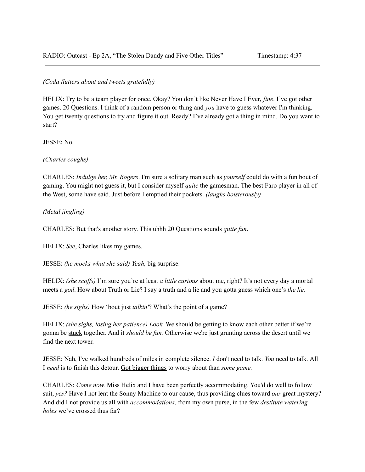# *(Coda flutters about and tweets gratefully)*

HELIX: Try to be a team player for once. Okay? You don't like Never Have I Ever, *fine*. I've got other games. 20 Questions. I think of a random person or thing and *you* have to guess whatever I'm thinking. You get twenty questions to try and figure it out. Ready? I've already got a thing in mind. Do you want to start?

JESSE: No.

*(Charles coughs)*

CHARLES: *Indulge her, Mr. Rogers*. I'm sure a solitary man such as *yourself* could do with a fun bout of gaming. You might not guess it, but I consider myself *quite* the gamesman. The best Faro player in all of the West, some have said. Just before I emptied their pockets. *(laughs boisterously)*

# *(Metal jingling)*

CHARLES: But that's another story. This uhhh 20 Questions sounds *quite fun*.

HELIX: *See*, Charles likes my games.

JESSE: *(he mocks what she said) Yeah,* big surprise.

HELIX: *(she scoffs)* I'm sure you're at least *a little curious* about me, right? It's not every day a mortal meets a *god*. How about Truth or Lie? I say a truth and a lie and you gotta guess which one's *the lie.*

JESSE: *(he sighs)* How 'bout just *talkin'*? What's the point of a game?

HELIX: *(she sighs, losing her patience) Look*. We should be getting to know each other better if we're gonna be stuck together. And it *should be fun.* Otherwise we're just grunting across the desert until we find the next tower.

JESSE: Nah, I've walked hundreds of miles in complete silence. *I* don't need to talk. *You* need to talk. All I *need* is to finish this detour. Got bigger things to worry about than *some game.*

CHARLES: *Come now.* Miss Helix and I have been perfectly accommodating. You'd do well to follow suit, *yes?* Have I not lent the Sonny Machine to our cause, thus providing clues toward *our* great mystery? And did I not provide us all with *accommodations*, from my own purse, in the few *destitute watering holes* we've crossed thus far?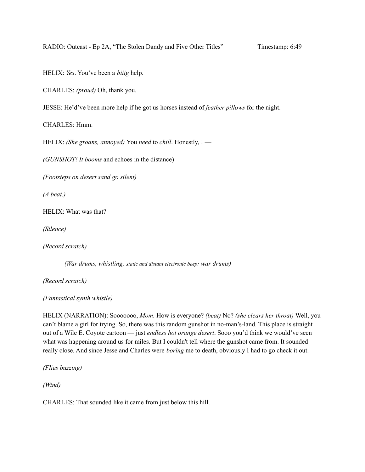HELIX: *Yes*. You've been a *biiig* help.

CHARLES: *(proud)* Oh, thank you.

JESSE: He'd've been more help if he got us horses instead of *feather pillows* for the night.

CHARLES: Hmm.

HELIX: *(She groans, annoyed)* You *need* to *chill*. Honestly, I —

*(GUNSHOT! It booms* and echoes in the distance)

*(Footsteps on desert sand go silent)*

*(A beat.)*

HELIX: What was that?

*(Silence)*

*(Record scratch)*

*(War drums, whistling; static and distant electronic beep; war drums)*

*(Record scratch)*

*(Fantastical synth whistle)*

HELIX (NARRATION): Sooooooo, *Mom.* How is everyone? *(beat)* No? *(she clears her throat)* Well, you can't blame a girl for trying. So, there was this random gunshot in no-man's-land. This place is straight out of a Wile E. Coyote cartoon — just *endless hot orange desert*. Sooo you'd think we would've seen what was happening around us for miles. But I couldn't tell where the gunshot came from. It sounded really close. And since Jesse and Charles were *boring* me to death, obviously I had to go check it out.

*(Flies buzzing)*

*(Wind)*

CHARLES: That sounded like it came from just below this hill.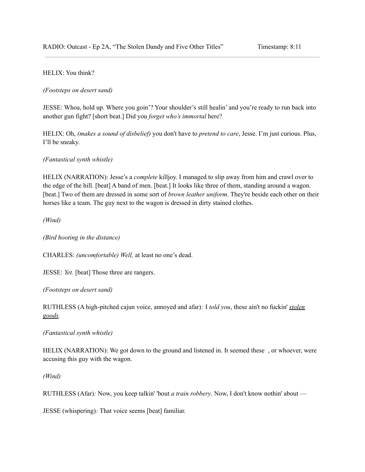# HELIX: You think?

# *(Footsteps on desert sand)*

JESSE: Whoa, hold up. Where you goin'? Your shoulder's still healin' and you're ready to run back into another gun fight? [short beat.] Did you *forget who's immortal* here?

HELIX: Oh, *(makes a sound of disbelief)* you don't have to *pretend to care*, Jesse. I'm just curious. Plus, I'll be sneaky.

## *(Fantastical synth whistle)*

HELIX (NARRATION): Jesse's a *complete* killjoy. I managed to slip away from him and crawl over to the edge of the hill. [beat] A band of men. [beat.] It looks like three of them, standing around a wagon. [beat.] Two of them are dressed in some sort of *brown leather uniform*. They're beside each other on their horses like a team. The guy next to the wagon is dressed in dirty stained clothes.

*(Wind)*

*(Bird hooting in the distance)*

CHARLES: *(uncomfortable) Well,* at least no one's dead.

JESSE: *Yet.* [beat] Those three are rangers.

*(Footsteps on desert sand)*

RUTHLESS (A high-pitched cajun voice, annoyed and afar)*:* I *told you*, these ain't no fuckin' *stolen goods.*

*(Fantastical synth whistle)*

HELIX (NARRATION): We got down to the ground and listened in. It seemed these , or whoever, were accusing this guy with the wagon.

*(Wind)*

RUTHLESS (Afar)*:* Now, you keep talkin' 'bout *a train robbery*. Now, I don't know nothin' about —

JESSE (whispering)*:* That voice seems [beat] familiar.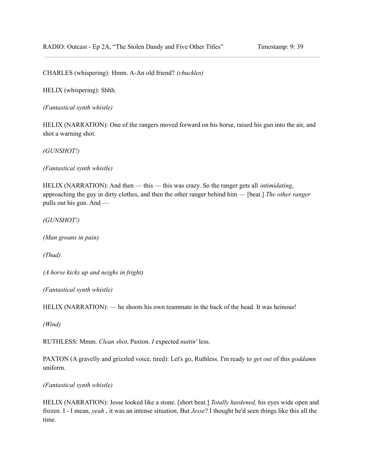CHARLES (whispering)*:* Hmm. A-An old friend? *(chuckles)*

HELIX (whispering): Shhh.

*(Fantastical synth whistle)*

HELIX (NARRATION): One of the rangers moved forward on his horse, raised his gun into the air, and shot a warning shot.

*(GUNSHOT!)*

*(Fantastical synth whistle)*

HELIX (NARRATION): And then — this — this was crazy. So the ranger gets all *intimidating*, approaching the guy in dirty clothes, and then the other ranger behind him — [beat.] *The other ranger* pulls out his gun. And —

*(GUNSHOT!)*

*(Man groans in pain)*

*(Thud)*

*(A horse kicks up and neighs in fright)*

*(Fantastical synth whistle)*

HELIX (NARRATION): — he shoots his own teammate in the back of the head. It was heinous!

*(Wind)*

RUTHLESS: Mmm. *Clean shot*, Paxton. *I* expected *nuttin'* less.

PAXTON (A gravelly and grizzled voice, tired): Let's go, Ruthless. I'm ready to *get out* of this *goddamn* uniform.

*(Fantastical synth whistle)*

HELIX (NARRATION): Jesse looked like a stone. [short beat.] *Totally hardened,* his eyes wide open and frozen. I - I mean, *yeah* , it was an intense situation. But *Jesse*? I thought he'd seen things like this all the time.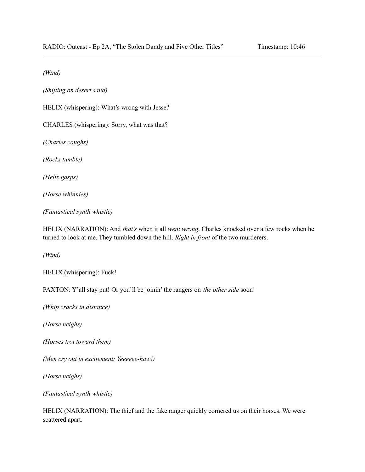*(Wind)*

*(Shifting on desert sand)*

HELIX (whispering): What's wrong with Jesse?

CHARLES (whispering): Sorry, what was that?

*(Charles coughs)*

*(Rocks tumble)*

*(Helix gasps)*

*(Horse whinnies)*

*(Fantastical synth whistle)*

HELIX (NARRATION): And *that's* when it all *went wrong*. Charles knocked over a few rocks when he turned to look at me. They tumbled down the hill. *Right in front* of the two murderers.

*(Wind)*

HELIX (whispering): Fuck!

PAXTON: Y'all stay put! Or you'll be joinin' the rangers on *the other side* soon!

*(Whip cracks in distance)*

*(Horse neighs)*

*(Horses trot toward them)*

*(Men cry out in excitement: Yeeeeee-haw!)*

*(Horse neighs)*

*(Fantastical synth whistle)*

HELIX (NARRATION): The thief and the fake ranger quickly cornered us on their horses. We were scattered apart.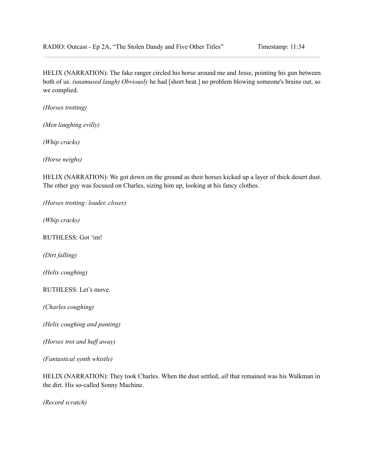HELIX (NARRATION): The fake ranger circled his horse around me and Jesse, pointing his gun between both of us. *(unamused laugh) Obviously* he had [short beat.] no problem blowing someone's brains out, so we complied.

*(Horses trotting)*

*(Men laughing evilly)*

*(Whip cracks)*

*(Horse neighs)*

HELIX (NARRATION): We got down on the ground as their horses kicked up a layer of thick desert dust. The other guy was focused on Charles, sizing him up, looking at his fancy clothes.

*(Horses trotting: louder, closer)*

*(Whip cracks)*

RUTHLESS: Got 'im!

*(Dirt falling)*

*(Helix coughing)*

RUTHLESS: Let's move.

*(Charles coughing)*

*(Helix coughing and panting)*

*(Horses trot and huf away)*

*(Fantastical synth whistle)*

HELIX (NARRATION): They took Charles. When the dust settled, *all* that remained was his Walkman in the dirt. His so-called Sonny Machine.

*(Record scratch)*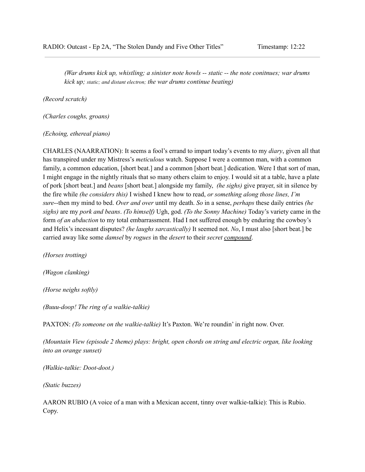*(War drums kick up, whistling; a sinister note howls -- static -- the note conitnues; war drums kick up; static; and distant electron; the war drums continue beating)*

*(Record scratch)*

*(Charles coughs, groans)*

#### *(Echoing, ethereal piano)*

CHARLES (NAARRATION): It seems a fool's errand to impart today's events to my *diary*, given all that has transpired under my Mistress's *meticulous* watch. Suppose I were a common man, with a common family, a common education, [short beat.] and a common [short beat.] dedication. Were I that sort of man, I might engage in the nightly rituals that so many others claim to enjoy. I would sit at a table, have a plate of pork [short beat.] and *beans* [short beat.] alongside my family, *(he sighs)* give prayer, sit in silence by the fire while *(he considers this)* I wished I knew how to read, *or something along those lines, I'm sure*--then my mind to bed. *Over and over* until my death. *So* in a sense, *perhaps* these daily entries *(he sighs)* are my *pork and beans*. *(To himself)* Ugh, god. *(To the Sonny Machine)* Today's variety came in the form *of an abduction* to my total embarrassment. Had I not suffered enough by enduring the cowboy's and Helix's incessant disputes? *(he laughs sarcastically)* It seemed not. *No*, I must also [short beat.] be carried away like some *damsel* by *rogues* in the *desert* to their *secret compound*.

*(Horses trotting)*

*(Wagon clanking)*

*(Horse neighs softly)*

*(Buuu-doop! The ring of a walkie-talkie)*

PAXTON: *(To someone on the walkie-talkie)* It's Paxton. We're roundin' in right now. Over.

*(Mountain View (episode 2 theme) plays: bright, open chords on string and electric organ, like looking into an orange sunset)*

*(Walkie-talkie: Doot-doot.)*

*(Static buzzes)*

AARON RUBIO (A voice of a man with a Mexican accent, tinny over walkie-talkie): This is Rubio. Copy.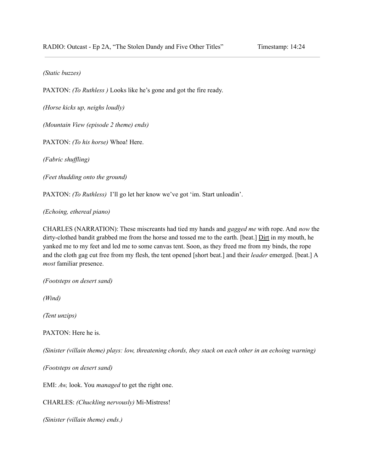#### *(Static buzzes)*

PAXTON: *(To Ruthless )* Looks like he's gone and got the fire ready.

*(Horse kicks up, neighs loudly)*

*(Mountain View (episode 2 theme) ends)*

PAXTON: *(To his horse)* Whoa! Here.

*(Fabric shuf ling)*

*(Feet thudding onto the ground)*

PAXTON: *(To Ruthless)* I'll go let her know we've got 'im. Start unloadin'.

*(Echoing, ethereal piano)*

CHARLES (NARRATION): These miscreants had tied my hands and *gagged me* with rope. And *now* the dirty-clothed bandit grabbed me from the horse and tossed me to the earth. [beat.] Dirt in my mouth, he yanked me to my feet and led me to some canvas tent. Soon, as they freed me from my binds, the rope and the cloth gag cut free from my flesh, the tent opened [short beat.] and their *leader* emerged. [beat.] A *most* familiar presence.

*(Footsteps on desert sand)*

*(Wind)*

*(Tent unzips)*

PAXTON: Here he is.

*(Sinister (villain theme) plays: low, threatening chords, they stack on each other in an echoing warning)*

*(Footsteps on desert sand)*

EMI: *Aw,* look. You *managed* to get the right one.

CHARLES: *(Chuckling nervously)* Mi-Mistress!

*(Sinister (villain theme) ends.)*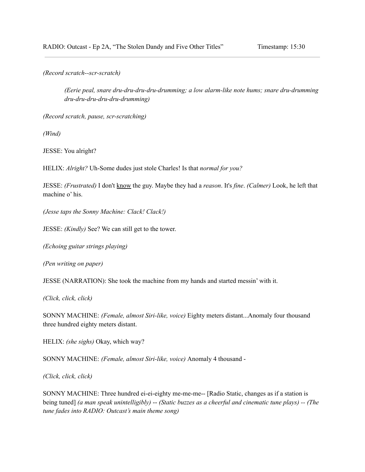*(Record scratch--scr-scratch)*

*(Eerie peal, snare dru-dru-dru-dru-drumming; a low alarm-like note hums; snare dru-drumming dru-dru-dru-dru-dru-drumming)*

*(Record scratch, pause, scr-scratching)*

*(Wind)*

JESSE: You alright?

HELIX: *Alright?* Uh-Some dudes just stole Charles! Is that *normal for you?*

JESSE: *(Frustrated)* I don't know the guy. Maybe they had a *reason*. It's *fine*. *(Calmer)* Look, he left that machine o' his.

*(Jesse taps the Sonny Machine: Clack! Clack!)*

JESSE: *(Kindly)* See? We can still get to the tower.

*(Echoing guitar strings playing)*

*(Pen writing on paper)*

JESSE (NARRATION): She took the machine from my hands and started messin' with it.

*(Click, click, click)*

SONNY MACHINE: *(Female, almost Siri-like, voice)* Eighty meters distant...Anomaly four thousand three hundred eighty meters distant.

HELIX: *(she sighs)* Okay, which way?

SONNY MACHINE: *(Female, almost Siri-like, voice)* Anomaly 4 thousand -

*(Click, click, click)*

SONNY MACHINE: Three hundred ei-ei-eighty me-me-me-- [Radio Static, changes as if a station is being tuned] *(a man speak unintelligibly)* -- *(Static buzzes as a cheerful and cinematic tune plays) -- (The tune fades into RADIO: Outcast's main theme song)*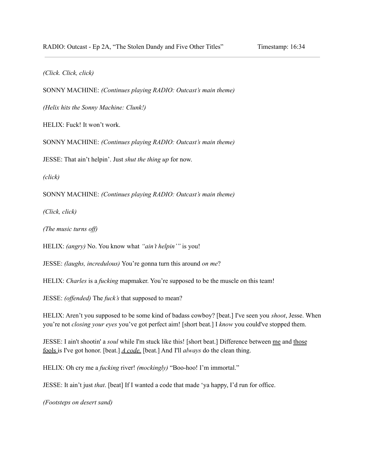*(Click. Click, click)*

SONNY MACHINE: *(Continues playing RADIO: Outcast's main theme)*

*(Helix hits the Sonny Machine: Clunk!)*

HELIX: Fuck! It won't work.

SONNY MACHINE: *(Continues playing RADIO: Outcast's main theme)*

JESSE: That ain't helpin'. Just *shut the thing up* for now.

*(click)*

SONNY MACHINE: *(Continues playing RADIO: Outcast's main theme)*

*(Click, click)*

*(The music turns off)* 

HELIX: *(angry)* No. You know what *"ain't helpin'"* is you!

JESSE: *(laughs, incredulous)* You're gonna turn this around *on me*?

HELIX: *Charles* is a *fucking* mapmaker. You're supposed to be the muscle on this team!

JESSE: *(offended)* The *fuck's* that supposed to mean?

HELIX: Aren't you supposed to be some kind of badass cowboy? [beat.] I've seen you *shoot*, Jesse. When you're not *closing your eyes* you've got perfect aim! [short beat.] I *know* you could've stopped them.

JESSE: I ain't shootin' a *soul* while I'm stuck like this! [short beat.] Difference between me and those fools is I've got honor. [beat.] *A code.* [beat.] And I'll *always* do the clean thing.

HELIX: Oh cry me a *fucking* river! *(mockingly)* "Boo-hoo! I'm immortal."

JESSE: It ain't just *that*. [beat] If I wanted a code that made 'ya happy, I'd run for office.

*(Footsteps on desert sand)*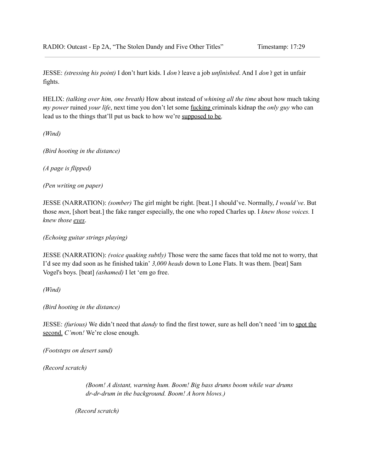JESSE: *(stressing his point)* I don't hurt kids. I *don't* leave a job *unfinished*. And I *don't* get in unfair fights.

HELIX: *(talking over him, one breath)* How about instead of *whining all the time* about how much taking *my power* ruined *your life*, next time you don't let some fucking criminals kidnap the *only guy* who can lead us to the things that'll put us back to how we're supposed to be.

*(Wind)*

*(Bird hooting in the distance)*

*(A page is flipped)*

*(Pen writing on paper)*

JESSE (NARRATION): *(somber)* The girl might be right. [beat.] I should've. Normally, *I would've*. But those *men*, [short beat.] the fake ranger especially, the one who roped Charles up. I *knew those voices.* I *knew those eyes*.

*(Echoing guitar strings playing)*

JESSE (NARRATION): *(voice quaking subtly)* Those were the same faces that told me not to worry, that I'd see my dad soon as he finished takin' *3,000 heads* down to Lone Flats. It was them. [beat] Sam Vogel's boys. [beat] *(ashamed)* I let 'em go free.

*(Wind)*

*(Bird hooting in the distance)*

JESSE: *(furious)* We didn't need that *dandy* to find the first tower, sure as hell don't need 'im to spot the second. *C'mo*n*!* We're close enough.

*(Footsteps on desert sand)*

*(Record scratch)*

*(Boom! A distant, warning hum. Boom! Big bass drums boom while war drums dr-dr-drum in the background. Boom! A horn blows.)*

*(Record scratch)*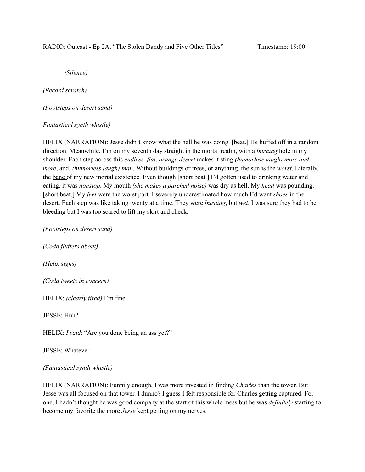*(Silence)*

*(Record scratch)*

*(Footsteps on desert sand)*

## *Fantastical synth whistle)*

HELIX (NARRATION): Jesse didn't know what the hell he was doing. [beat.] He huffed off in a random direction. Meanwhile, I'm on my seventh day straight in the mortal realm, with a *burning* hole in my shoulder. Each step across this *endless, flat, orange desert* makes it sting *(humorless laugh) more and more*, and, *(humorless laugh) man*. Without buildings or trees, or anything, the sun is the *worst*. Literally, the bane of my new mortal existence. Even though [short beat.] I'd gotten used to drinking water and eating, it was *nonstop*. My mouth *(she makes a parched noise)* was dry as hell. My *head* was pounding. [short beat.] My *feet* were the worst part. I severely underestimated how much I'd want *shoes* in the desert. Each step was like taking twenty at a time. They were *burning*, but *wet*. I was sure they had to be bleeding but I was too scared to lift my skirt and check.

*(Footsteps on desert sand)*

*(Coda flutters about)*

*(Helix sighs)*

*(Coda tweets in concern)*

HELIX: *(clearly tired)* I'm fine.

JESSE: Huh?

HELIX: *I said*: "Are you done being an ass yet?"

JESSE: Whatever.

#### *(Fantastical synth whistle)*

HELIX (NARRATION): Funnily enough, I was more invested in finding *Charles* than the tower. But Jesse was all focused on that tower. I dunno? I guess I felt responsible for Charles getting captured. For one, I hadn't thought he was good company at the start of this whole mess but he was *definitely* starting to become my favorite the more *Jesse* kept getting on my nerves.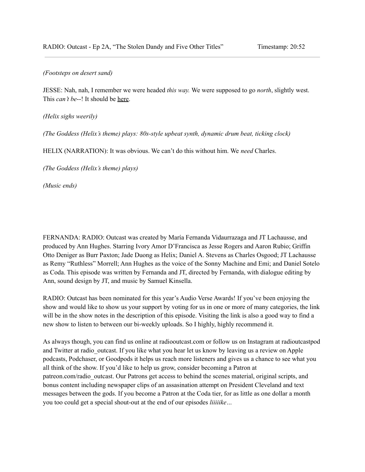## *(Footsteps on desert sand)*

JESSE: Nah, nah, I remember we were headed *this way.* We were supposed to go *north*, slightly west. This *can't be*--! It should be here.

*(Helix sighs weerily)*

*(The Goddess (Helix's theme) plays: 80s-style upbeat synth, dynamic drum beat, ticking clock)*

HELIX (NARRATION): It was obvious. We can't do this without him. We *need* Charles.

*(The Goddess (Helix's theme) plays)*

*(Music ends)*

FERNANDA: RADIO: Outcast was created by María Fernanda Vidaurrazaga and JT Lachausse, and produced by Ann Hughes. Starring Ivory Amor D'Francisca as Jesse Rogers and Aaron Rubio; Griffin Otto Deniger as Burr Paxton; Jade Duong as Helix; Daniel A. Stevens as Charles Osgood; JT Lachausse as Remy "Ruthless" Morrell; Ann Hughes as the voice of the Sonny Machine and Emi; and Daniel Sotelo as Coda. This episode was written by Fernanda and JT, directed by Fernanda, with dialogue editing by Ann, sound design by JT, and music by Samuel Kinsella.

RADIO: Outcast has been nominated for this year's Audio Verse Awards! If you've been enjoying the show and would like to show us your support by voting for us in one or more of many categories, the link will be in the show notes in the description of this episode. Visiting the link is also a good way to find a new show to listen to between our bi-weekly uploads. So I highly, highly recommend it.

As always though, you can find us online at radiooutcast.com or follow us on Instagram at radioutcastpod and Twitter at radio outcast. If you like what you hear let us know by leaving us a review on Apple podcasts, Podchaser, or Goodpods it helps us reach more listeners and gives us a chance to see what you all think of the show. If you'd like to help us grow, consider becoming a Patron at patreon.com/radio\_outcast. Our Patrons get access to behind the scenes material, original scripts, and bonus content including newspaper clips of an assasination attempt on President Cleveland and text messages between the gods. If you become a Patron at the Coda tier, for as little as one dollar a month you too could get a special shout-out at the end of our episodes *liiiiike…*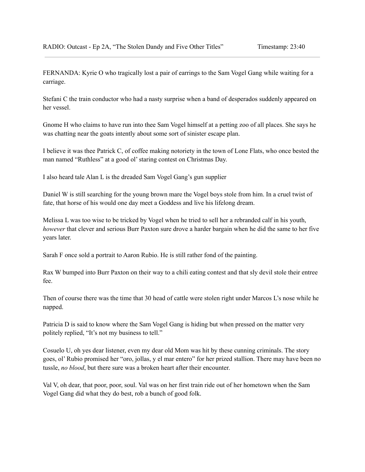FERNANDA: Kyrie O who tragically lost a pair of earrings to the Sam Vogel Gang while waiting for a carriage.

Stefani C the train conductor who had a nasty surprise when a band of desperados suddenly appeared on her vessel.

Gnome H who claims to have run into thee Sam Vogel himself at a petting zoo of all places. She says he was chatting near the goats intently about some sort of sinister escape plan.

I believe it was thee Patrick C, of coffee making notoriety in the town of Lone Flats, who once bested the man named "Ruthless" at a good ol'staring contest on Christmas Day.

I also heard tale Alan L is the dreaded Sam Vogel Gang's gun supplier

Daniel W is still searching for the young brown mare the Vogel boys stole from him. In a cruel twist of fate, that horse of his would one day meet a Goddess and live his lifelong dream.

Melissa L was too wise to be tricked by Vogel when he tried to sell her a rebranded calf in his youth, *however* that clever and serious Burr Paxton sure drove a harder bargain when he did the same to her five years later.

Sarah F once sold a portrait to Aaron Rubio. He is still rather fond of the painting.

Rax W bumped into Burr Paxton on their way to a chili eating contest and that sly devil stole their entree fee.

Then of course there was the time that 30 head of cattle were stolen right under Marcos L's nose while he napped.

Patricia D is said to know where the Sam Vogel Gang is hiding but when pressed on the matter very politely replied, "It's not my business to tell."

Cosuelo U, oh yes dear listener, even my dear old Mom was hit by these cunning criminals. The story goes, ol' Rubio promised her "oro, jollas, y el mar entero" for her prized stallion. There may have been no tussle, *no blood*, but there sure was a broken heart after their encounter.

Val V, oh dear, that poor, poor, soul. Val was on her first train ride out of her hometown when the Sam Vogel Gang did what they do best, rob a bunch of good folk.